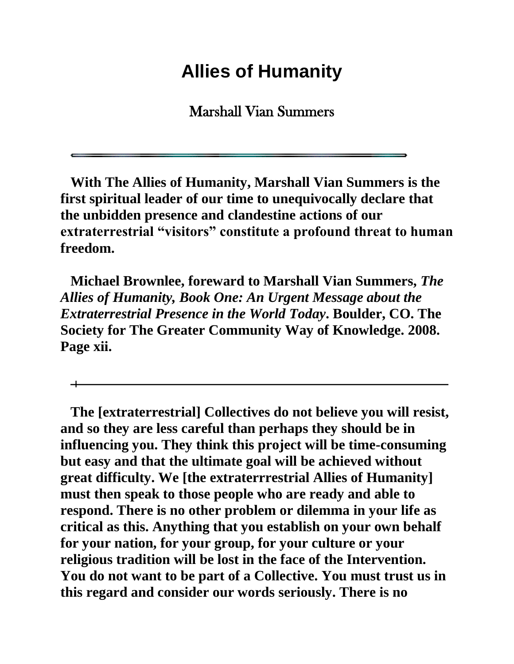## **Allies of Humanity**

Marshall Vian Summers

**With The Allies of Humanity, Marshall Vian Summers is the first spiritual leader of our time to unequivocally declare that the unbidden presence and clandestine actions of our extraterrestrial "visitors" constitute a profound threat to human freedom.**

**Michael Brownlee, foreward to Marshall Vian Summers,** *The Allies of Humanity, Book One: An Urgent Message about the Extraterrestrial Presence in the World Today***. Boulder, CO. The Society for The Greater Community Way of Knowledge. 2008. Page xii.**

**The [extraterrestrial] Collectives do not believe you will resist, and so they are less careful than perhaps they should be in influencing you. They think this project will be time-consuming but easy and that the ultimate goal will be achieved without great difficulty. We [the extraterrrestrial Allies of Humanity] must then speak to those people who are ready and able to respond. There is no other problem or dilemma in your life as critical as this. Anything that you establish on your own behalf for your nation, for your group, for your culture or your religious tradition will be lost in the face of the Intervention. You do not want to be part of a Collective. You must trust us in this regard and consider our words seriously. There is no**